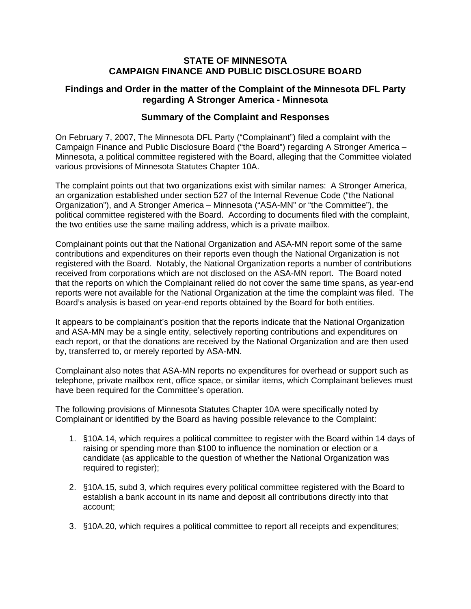### **STATE OF MINNESOTA CAMPAIGN FINANCE AND PUBLIC DISCLOSURE BOARD**

## **Findings and Order in the matter of the Complaint of the Minnesota DFL Party regarding A Stronger America - Minnesota**

## **Summary of the Complaint and Responses**

On February 7, 2007, The Minnesota DFL Party ("Complainant") filed a complaint with the Campaign Finance and Public Disclosure Board ("the Board") regarding A Stronger America – Minnesota, a political committee registered with the Board, alleging that the Committee violated various provisions of Minnesota Statutes Chapter 10A.

The complaint points out that two organizations exist with similar names: A Stronger America, an organization established under section 527 of the Internal Revenue Code ("the National Organization"), and A Stronger America – Minnesota ("ASA-MN" or "the Committee"), the political committee registered with the Board. According to documents filed with the complaint, the two entities use the same mailing address, which is a private mailbox.

Complainant points out that the National Organization and ASA-MN report some of the same contributions and expenditures on their reports even though the National Organization is not registered with the Board. Notably, the National Organization reports a number of contributions received from corporations which are not disclosed on the ASA-MN report. The Board noted that the reports on which the Complainant relied do not cover the same time spans, as year-end reports were not available for the National Organization at the time the complaint was filed. The Board's analysis is based on year-end reports obtained by the Board for both entities.

It appears to be complainant's position that the reports indicate that the National Organization and ASA-MN may be a single entity, selectively reporting contributions and expenditures on each report, or that the donations are received by the National Organization and are then used by, transferred to, or merely reported by ASA-MN.

Complainant also notes that ASA-MN reports no expenditures for overhead or support such as telephone, private mailbox rent, office space, or similar items, which Complainant believes must have been required for the Committee's operation.

The following provisions of Minnesota Statutes Chapter 10A were specifically noted by Complainant or identified by the Board as having possible relevance to the Complaint:

- 1. §10A.14, which requires a political committee to register with the Board within 14 days of raising or spending more than \$100 to influence the nomination or election or a candidate (as applicable to the question of whether the National Organization was required to register);
- 2. §10A.15, subd 3, which requires every political committee registered with the Board to establish a bank account in its name and deposit all contributions directly into that account;
- 3. §10A.20, which requires a political committee to report all receipts and expenditures;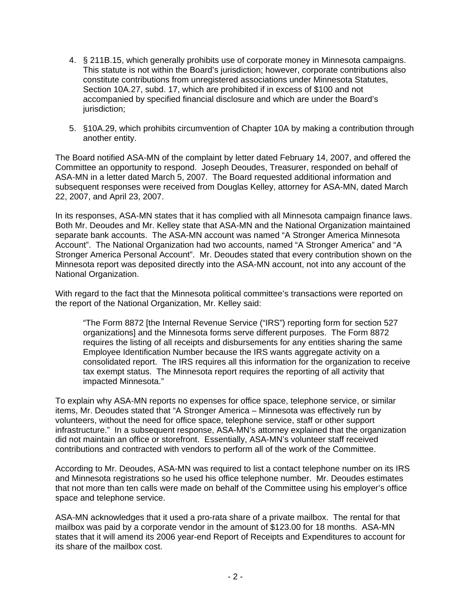- 4. § 211B.15, which generally prohibits use of corporate money in Minnesota campaigns. This statute is not within the Board's jurisdiction; however, corporate contributions also constitute contributions from unregistered associations under Minnesota Statutes, Section 10A.27, subd. 17, which are prohibited if in excess of \$100 and not accompanied by specified financial disclosure and which are under the Board's jurisdiction;
- 5. §10A.29, which prohibits circumvention of Chapter 10A by making a contribution through another entity.

The Board notified ASA-MN of the complaint by letter dated February 14, 2007, and offered the Committee an opportunity to respond. Joseph Deoudes, Treasurer, responded on behalf of ASA-MN in a letter dated March 5, 2007. The Board requested additional information and subsequent responses were received from Douglas Kelley, attorney for ASA-MN, dated March 22, 2007, and April 23, 2007.

In its responses, ASA-MN states that it has complied with all Minnesota campaign finance laws. Both Mr. Deoudes and Mr. Kelley state that ASA-MN and the National Organization maintained separate bank accounts. The ASA-MN account was named "A Stronger America Minnesota Account". The National Organization had two accounts, named "A Stronger America" and "A Stronger America Personal Account". Mr. Deoudes stated that every contribution shown on the Minnesota report was deposited directly into the ASA-MN account, not into any account of the National Organization.

With regard to the fact that the Minnesota political committee's transactions were reported on the report of the National Organization, Mr. Kelley said:

"The Form 8872 [the Internal Revenue Service ("IRS") reporting form for section 527 organizations] and the Minnesota forms serve different purposes. The Form 8872 requires the listing of all receipts and disbursements for any entities sharing the same Employee Identification Number because the IRS wants aggregate activity on a consolidated report. The IRS requires all this information for the organization to receive tax exempt status. The Minnesota report requires the reporting of all activity that impacted Minnesota."

To explain why ASA-MN reports no expenses for office space, telephone service, or similar items, Mr. Deoudes stated that "A Stronger America – Minnesota was effectively run by volunteers, without the need for office space, telephone service, staff or other support infrastructure." In a subsequent response, ASA-MN's attorney explained that the organization did not maintain an office or storefront. Essentially, ASA-MN's volunteer staff received contributions and contracted with vendors to perform all of the work of the Committee.

According to Mr. Deoudes, ASA-MN was required to list a contact telephone number on its IRS and Minnesota registrations so he used his office telephone number. Mr. Deoudes estimates that not more than ten calls were made on behalf of the Committee using his employer's office space and telephone service.

ASA-MN acknowledges that it used a pro-rata share of a private mailbox. The rental for that mailbox was paid by a corporate vendor in the amount of \$123.00 for 18 months. ASA-MN states that it will amend its 2006 year-end Report of Receipts and Expenditures to account for its share of the mailbox cost.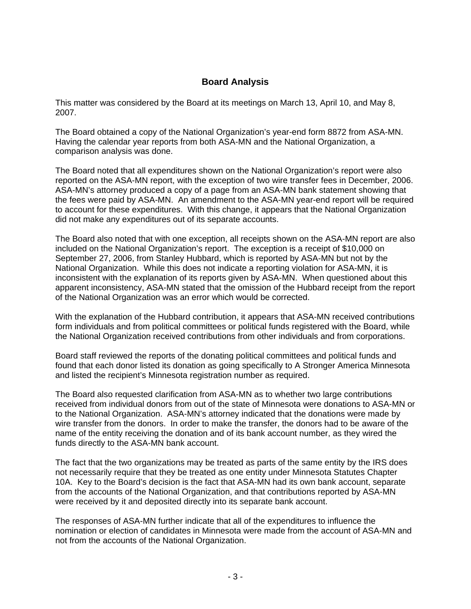# **Board Analysis**

This matter was considered by the Board at its meetings on March 13, April 10, and May 8, 2007.

The Board obtained a copy of the National Organization's year-end form 8872 from ASA-MN. Having the calendar year reports from both ASA-MN and the National Organization, a comparison analysis was done.

The Board noted that all expenditures shown on the National Organization's report were also reported on the ASA-MN report, with the exception of two wire transfer fees in December, 2006. ASA-MN's attorney produced a copy of a page from an ASA-MN bank statement showing that the fees were paid by ASA-MN. An amendment to the ASA-MN year-end report will be required to account for these expenditures. With this change, it appears that the National Organization did not make any expenditures out of its separate accounts.

The Board also noted that with one exception, all receipts shown on the ASA-MN report are also included on the National Organization's report. The exception is a receipt of \$10,000 on September 27, 2006, from Stanley Hubbard, which is reported by ASA-MN but not by the National Organization. While this does not indicate a reporting violation for ASA-MN, it is inconsistent with the explanation of its reports given by ASA-MN. When questioned about this apparent inconsistency, ASA-MN stated that the omission of the Hubbard receipt from the report of the National Organization was an error which would be corrected.

With the explanation of the Hubbard contribution, it appears that ASA-MN received contributions form individuals and from political committees or political funds registered with the Board, while the National Organization received contributions from other individuals and from corporations.

Board staff reviewed the reports of the donating political committees and political funds and found that each donor listed its donation as going specifically to A Stronger America Minnesota and listed the recipient's Minnesota registration number as required.

The Board also requested clarification from ASA-MN as to whether two large contributions received from individual donors from out of the state of Minnesota were donations to ASA-MN or to the National Organization. ASA-MN's attorney indicated that the donations were made by wire transfer from the donors. In order to make the transfer, the donors had to be aware of the name of the entity receiving the donation and of its bank account number, as they wired the funds directly to the ASA-MN bank account.

The fact that the two organizations may be treated as parts of the same entity by the IRS does not necessarily require that they be treated as one entity under Minnesota Statutes Chapter 10A. Key to the Board's decision is the fact that ASA-MN had its own bank account, separate from the accounts of the National Organization, and that contributions reported by ASA-MN were received by it and deposited directly into its separate bank account.

The responses of ASA-MN further indicate that all of the expenditures to influence the nomination or election of candidates in Minnesota were made from the account of ASA-MN and not from the accounts of the National Organization.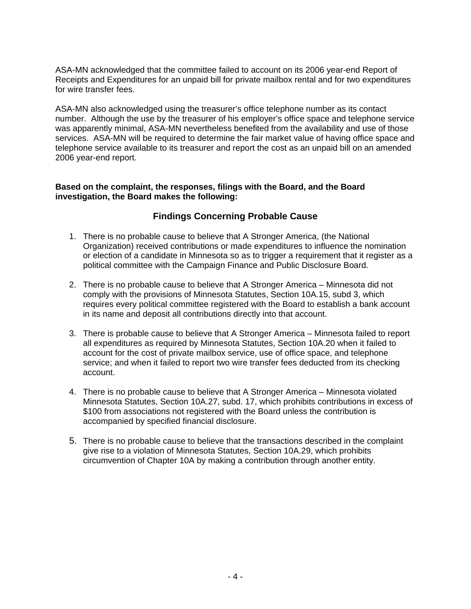ASA-MN acknowledged that the committee failed to account on its 2006 year-end Report of Receipts and Expenditures for an unpaid bill for private mailbox rental and for two expenditures for wire transfer fees.

ASA-MN also acknowledged using the treasurer's office telephone number as its contact number. Although the use by the treasurer of his employer's office space and telephone service was apparently minimal, ASA-MN nevertheless benefited from the availability and use of those services. ASA-MN will be required to determine the fair market value of having office space and telephone service available to its treasurer and report the cost as an unpaid bill on an amended 2006 year-end report.

### **Based on the complaint, the responses, filings with the Board, and the Board investigation, the Board makes the following:**

# **Findings Concerning Probable Cause**

- 1. There is no probable cause to believe that A Stronger America, (the National Organization) received contributions or made expenditures to influence the nomination or election of a candidate in Minnesota so as to trigger a requirement that it register as a political committee with the Campaign Finance and Public Disclosure Board.
- 2. There is no probable cause to believe that A Stronger America Minnesota did not comply with the provisions of Minnesota Statutes, Section 10A.15, subd 3, which requires every political committee registered with the Board to establish a bank account in its name and deposit all contributions directly into that account.
- 3. There is probable cause to believe that A Stronger America Minnesota failed to report all expenditures as required by Minnesota Statutes, Section 10A.20 when it failed to account for the cost of private mailbox service, use of office space, and telephone service; and when it failed to report two wire transfer fees deducted from its checking account.
- 4. There is no probable cause to believe that A Stronger America Minnesota violated Minnesota Statutes, Section 10A.27, subd. 17, which prohibits contributions in excess of \$100 from associations not registered with the Board unless the contribution is accompanied by specified financial disclosure.
- 5. There is no probable cause to believe that the transactions described in the complaint give rise to a violation of Minnesota Statutes, Section 10A.29, which prohibits circumvention of Chapter 10A by making a contribution through another entity.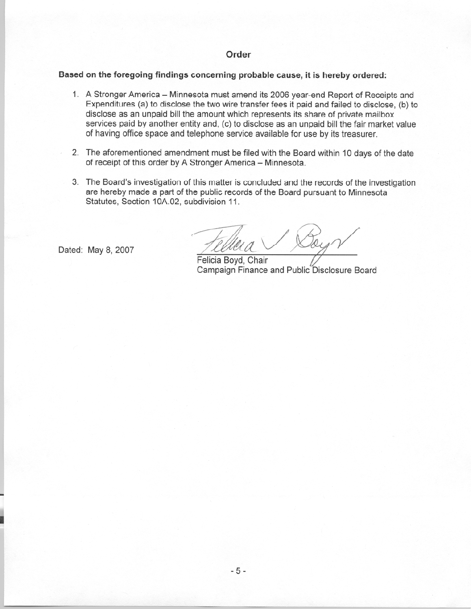### Order

#### Based on the foregoing findings concerning probable cause, it is hereby ordered:

- 1. A Stronger America Minnesota must amend its 2006 year-end Report of Receipts and Expenditures (a) to disclose the two wire transfer fees it paid and failed to disclose. (b) to disclose as an unpaid bill the amount which represents its share of private mailbox services paid by another entity and, (c) to disclose as an unpaid bill the fair market value of having office space and telephone service available for use by its treasurer.
- 2. The aforementioned amendment must be filed with the Board within 10 days of the date of receipt of this order by A Stronger America - Minnesota.
- 3. The Board's investigation of this matter is concluded and the records of the investigation are hereby made a part of the public records of the Board pursuant to Minnesota Statutes, Section 10A.02, subdivision 11.

Dated: May 8, 2007

Felicia Boyd, Chair Campaign Finance and Public Disclosure Board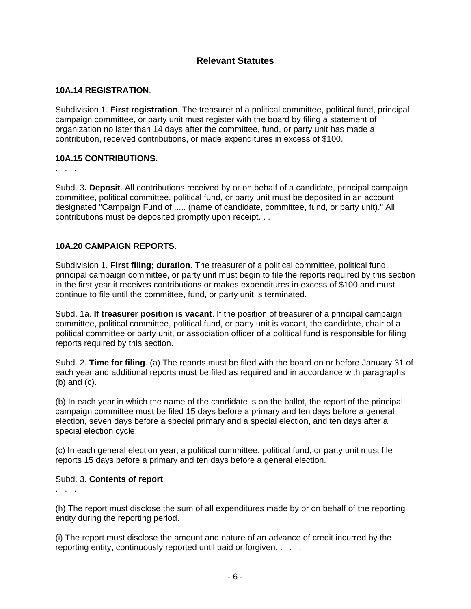# **Relevant Statutes**

### **10A.14 REGISTRATION**.

Subdivision 1. **First registration**. The treasurer of a political committee, political fund, principal campaign committee, or party unit must register with the board by filing a statement of organization no later than 14 days after the committee, fund, or party unit has made a contribution, received contributions, or made expenditures in excess of \$100.

### **10A.15 CONTRIBUTIONS.**

. . .

Subd. 3**. Deposit**. All contributions received by or on behalf of a candidate, principal campaign committee, political committee, political fund, or party unit must be deposited in an account designated "Campaign Fund of ..... (name of candidate, committee, fund, or party unit)." All contributions must be deposited promptly upon receipt. . .

### **10A.20 CAMPAIGN REPORTS**.

Subdivision 1. **First filing; duration**. The treasurer of a political committee, political fund, principal campaign committee, or party unit must begin to file the reports required by this section in the first year it receives contributions or makes expenditures in excess of \$100 and must continue to file until the committee, fund, or party unit is terminated.

Subd. 1a. **If treasurer position is vacant**. If the position of treasurer of a principal campaign committee, political committee, political fund, or party unit is vacant, the candidate, chair of a political committee or party unit, or association officer of a political fund is responsible for filing reports required by this section.

Subd. 2. **Time for filing**. (a) The reports must be filed with the board on or before January 31 of each year and additional reports must be filed as required and in accordance with paragraphs (b) and (c).

(b) In each year in which the name of the candidate is on the ballot, the report of the principal campaign committee must be filed 15 days before a primary and ten days before a general election, seven days before a special primary and a special election, and ten days after a special election cycle.

(c) In each general election year, a political committee, political fund, or party unit must file reports 15 days before a primary and ten days before a general election.

### Subd. 3. **Contents of report**.

. . .

(h) The report must disclose the sum of all expenditures made by or on behalf of the reporting entity during the reporting period.

(i) The report must disclose the amount and nature of an advance of credit incurred by the reporting entity, continuously reported until paid or forgiven. . . .